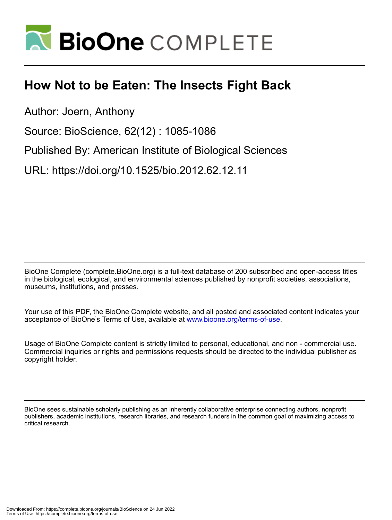

# **How Not to be Eaten: The Insects Fight Back**

Author: Joern, Anthony

Source: BioScience, 62(12) : 1085-1086

Published By: American Institute of Biological Sciences

URL: https://doi.org/10.1525/bio.2012.62.12.11

BioOne Complete (complete.BioOne.org) is a full-text database of 200 subscribed and open-access titles in the biological, ecological, and environmental sciences published by nonprofit societies, associations, museums, institutions, and presses.

Your use of this PDF, the BioOne Complete website, and all posted and associated content indicates your acceptance of BioOne's Terms of Use, available at www.bioone.org/terms-of-use.

Usage of BioOne Complete content is strictly limited to personal, educational, and non - commercial use. Commercial inquiries or rights and permissions requests should be directed to the individual publisher as copyright holder.

BioOne sees sustainable scholarly publishing as an inherently collaborative enterprise connecting authors, nonprofit publishers, academic institutions, research libraries, and research funders in the common goal of maximizing access to critical research.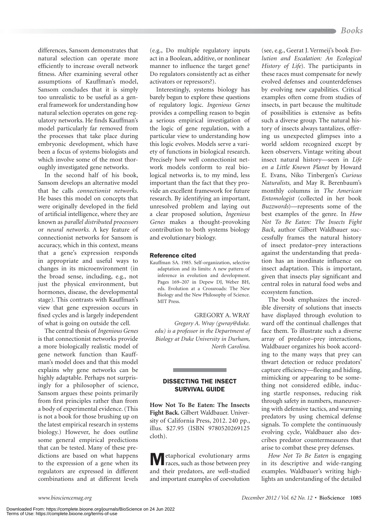differences, Sansom demonstrates that natural selection can operate more efficiently to increase overall network fitness. After examining several other assumptions of Kauffman's model, Sansom concludes that it is simply too unrealistic to be useful as a general framework for understanding how natural selection operates on gene regulatory networks. He finds Kauffman's model particularly far removed from the processes that take place during embryonic development, which have been a focus of systems biologists and which involve some of the most thoroughly investigated gene networks.

In the second half of his book, Sansom develops an alternative model that he calls *connectionist networks*. He bases this model on concepts that were originally developed in the field of artificial intelligence, where they are known as *parallel distributed processors* or *neural networks*. A key feature of connectionist networks for Sansom is accuracy, which in this context, means that a gene's expression responds in appropriate and useful ways to changes in its microenvironment (in the broad sense, including, e.g., not just the physical environment, but hormones, disease, the developmental stage). This contrasts with Kauffman's view that gene expression occurs in fixed cycles and is largely independent of what is going on outside the cell.

The central thesis of *Ingenious Genes* is that connectionist networks provide a more biologically realistic model of gene network function than Kauffman's model does and that this model explains why gene networks can be highly adaptable. Perhaps not surprisingly for a philosopher of science, Sansom argues these points primarily from first principles rather than from a body of experimental evidence. (This is not a book for those brushing up on the latest empirical research in systems biology.) However, he does outline some general empirical predictions that can be tested. Many of these predictions are based on what happens to the expression of a gene when its regulators are expressed in different combinations and at different levels

(e.g., Do multiple regulatory inputs act in a Boolean, additive, or nonlinear manner to influence the target gene? Do regulators consistently act as either activators or repressors?).

Interestingly, systems biology has barely begun to explore these questions of regulatory logic. *Ingenious Genes* provides a compelling reason to begin a serious empirical investigation of the logic of gene regulation, with a particular view to understanding how this logic evolves. Models serve a variety of functions in biological research. Precisely how well connectionist network models conform to real biological networks is, to my mind, less important than the fact that they provide an excellent framework for future research. By identifying an important, unresolved problem and laying out a clear proposed solution, *Ingenious Genes* makes a thought-provoking contribution to both systems biology and evolutionary biology.

### Reference cited

Kauffman SA. 1985. Self-organization, selective adaptation and its limits: A new pattern of inference in evolution and development. Pages 169–207 in Depew DJ, Weber BH, eds. Evolution at a Crossroads: The New Biology and the New Philosophy of Science. MIT Press.

GREGORY A. WRAY

*Gregory A. Wray (gwray@duke. edu) is a professor in the Department of Biology at Duke University in Durham, North Carolina.*

## DISSECTING THE INSECT SURVIVAL GUIDE

**How Not To Be Eaten: The Insects Fight Back.** Gilbert Waldbauer. University of California Press, 2012. 240 pp., illus. \$27.95 (ISBN 9780520269125 cloth).

etaphorical evolutionary arms races, such as those between prey and their predators, are well-studied and important examples of coevolution

(see, e.g., Geerat J. Vermeij's book *Evolution and Escalation: An Ecological History of Life*). The participants in these races must compensate for newly evolved defenses and counterdefenses by evolving new capabilities. Critical examples often come from studies of insects, in part because the multitude of possibilities is extensive as befits such a diverse group. The natural history of insects always tantalizes, offering us unexpected glimpses into a world seldom recognized except by keen observers. Vintage writing about insect natural history—seen in *Life on a Little Known Planet* by Howard E. Evans*,* Niko Tinbergen's *Curious Naturalists*, and May R. Berenbaum's monthly columns in *The American Entomologist* (collected in her book *Buzzwords*)—represents some of the best examples of the genre. In *How Not To Be Eaten: The Insects Fight Back*, author Gilbert Waldbauer successfully frames the natural history of insect predator–prey interactions against the understanding that predation has an inordinate influence on insect adaptation. This is important, given that insects play significant and central roles in natural food webs and ecosystem function.

The book emphasizes the incredible diversity of solutions that insects have displayed through evolution to ward off the continual challenges that face them. To illustrate such a diverse array of predator–prey interactions, Waldbauer organizes his book according to the many ways that prey can thwart detection or reduce predators' capture efficiency—fleeing and hiding, mimicking or appearing to be something not considered edible, inducing startle responses, reducing risk through safety in numbers, maneuvering with defensive tactics, and warning predators by using chemical defense signals. To complete the continuously evolving cycle, Waldbauer also describes predator countermeasures that arise to combat these prey defenses.

*How Not To Be Eaten* is engaging in its descriptive and wide-ranging examples. Waldbauer's writing highlights an understanding of the detailed